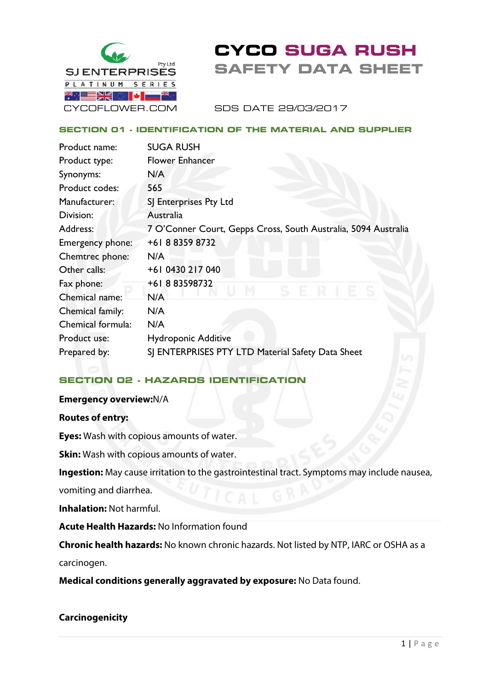

# **CYCO SUGA RUSH SAFETY DATA SHEET**

SDS DATE 29/03/2017

#### **SECTION 01 - IDENTIFICATION OF THE MATERIAL AND SUPPLIER**

| Product name:     | <b>SUGA RUSH</b>                                               |
|-------------------|----------------------------------------------------------------|
| Product type:     | Flower Enhancer                                                |
| Synonyms:         | N/A                                                            |
| Product codes:    | 565                                                            |
| Manufacturer:     | SJ Enterprises Pty Ltd                                         |
| Division:         | Australia                                                      |
| Address:          | 7 O'Conner Court, Gepps Cross, South Australia, 5094 Australia |
| Emergency phone:  | +61883598732                                                   |
| Chemtrec phone:   | N/A                                                            |
| Other calls:      | +61 0430 217 040                                               |
| Fax phone:        | +61883598732                                                   |
| Chemical name:    | N/A                                                            |
| Chemical family:  | N/A                                                            |
| Chemical formula: | N/A                                                            |
| Product use:      | Hydroponic Additive                                            |
| Prepared by:      | SJ ENTERPRISES PTY LTD Material Safety Data Sheet              |

#### **SECTION 02 - HAZARDS IDENTIFICATION**

#### **Emergency overview:**N/A

#### **Routes of entry:**

**Eyes:** Wash with copious amounts of water.

**Skin:** Wash with copious amounts of water.

**Ingestion:** May cause irritation to the gastrointestinal tract. Symptoms may include nausea,

vomiting and diarrhea.

**Inhalation:** Not harmful.

**Acute Health Hazards:** No Information found

**Chronic health hazards:** No known chronic hazards. Not listed by NTP, IARC or OSHA as a

carcinogen.

**Medical conditions generally aggravated by exposure:** No Data found.

#### **Carcinogenicity**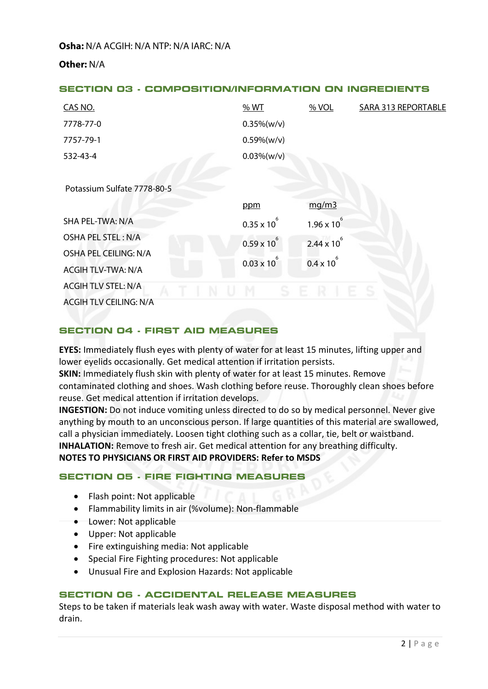#### **Osha:** N/A ACGIH: N/A NTP: N/A IARC: N/A

#### **Other:** N/A

|  |  |  | SECTION 03 - COMPOSITION/INFORMATION ON INGREDIENTS |
|--|--|--|-----------------------------------------------------|
|  |  |  |                                                     |

| CAS NO.                       | % WT                 | % VOL                | <b>SARA 313 REPORTABLE</b> |
|-------------------------------|----------------------|----------------------|----------------------------|
| 7778-77-0                     | $0.35\%(w/v)$        |                      |                            |
| 7757-79-1                     | $0.59\%(w/v)$        |                      |                            |
| 532-43-4                      | $0.03\%(w/v)$        |                      |                            |
|                               |                      |                      |                            |
| Potassium Sulfate 7778-80-5   |                      |                      |                            |
|                               | ppm                  | mg/m3                |                            |
| SHA PEL-TWA: N/A              | $0.35 \times 10^{6}$ | $1.96 \times 10^{6}$ |                            |
| OSHA PEL STEL: N/A            | $0.59 \times 10^{6}$ | $2.44 \times 10^{6}$ |                            |
| OSHA PEL CEILING: N/A         |                      | $0.4 \times 10^{6}$  |                            |
| <b>ACGIH TLV-TWA: N/A</b>     | $0.03 \times 10^{6}$ |                      |                            |
| <b>ACGIH TLV STEL: N/A</b>    |                      |                      |                            |
| <b>ACGIH TLV CEILING: N/A</b> |                      |                      |                            |
|                               |                      |                      |                            |

#### **SECTION 04 - FIRST AID MEASURES**

**EYES:** Immediately flush eyes with plenty of water for at least 15 minutes, lifting upper and lower eyelids occasionally. Get medical attention if irritation persists.

**SKIN:** Immediately flush skin with plenty of water for at least 15 minutes. Remove contaminated clothing and shoes. Wash clothing before reuse. Thoroughly clean shoes before reuse. Get medical attention if irritation develops.

**INGESTION:** Do not induce vomiting unless directed to do so by medical personnel. Never give anything by mouth to an unconscious person. If large quantities of this material are swallowed, call a physician immediately. Loosen tight clothing such as a collar, tie, belt or waistband. **INHALATION:** Remove to fresh air. Get medical attention for any breathing difficulty. **NOTES TO PHYSICIANS OR FIRST AID PROVIDERS: Refer to MSDS**

#### **SECTION 05 - FIRE FIGHTING MEASURES**

- Flash point: Not applicable
- Flammability limits in air (%volume): Non-flammable
- Lower: Not applicable
- Upper: Not applicable
- Fire extinguishing media: Not applicable
- Special Fire Fighting procedures: Not applicable
- Unusual Fire and Explosion Hazards: Not applicable

#### **SECTION 06 - ACCIDENTAL RELEASE MEASURES**

Steps to be taken if materials leak wash away with water. Waste disposal method with water to drain.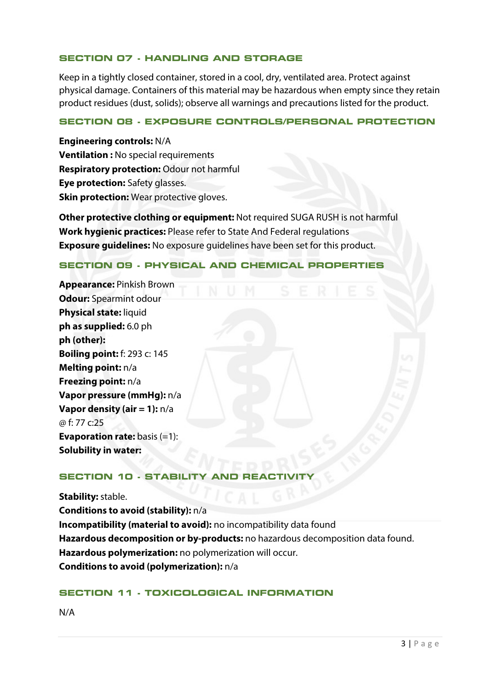#### **SECTION 07 - HANDLING AND STORAGE**

Keep in a tightly closed container, stored in a cool, dry, ventilated area. Protect against physical damage. Containers of this material may be hazardous when empty since they retain product residues (dust, solids); observe all warnings and precautions listed for the product.

#### **SECTION 08 - EXPOSURE CONTROLS/PERSONAL PROTECTION**

**Engineering controls:** N/A **Ventilation :** No special requirements **Respiratory protection:** Odour not harmful **Eye protection:** Safety glasses. **Skin protection:** Wear protective gloves.

**Other protective clothing or equipment:** Not required SUGA RUSH is not harmful **Work hygienic practices:** Please refer to State And Federal regulations **Exposure guidelines:** No exposure guidelines have been set for this product.

#### **SECTION 09 - PHYSICAL AND CHEMICAL PROPERTIES**

**Appearance:** Pinkish Brown **Odour:** Spearmint odour **Physical state:** liquid **ph as supplied:** 6.0 ph **ph (other): Boiling point:** f: 293 c: 145 **Melting point:** n/a **Freezing point:** n/a **Vapor pressure (mmHg):** n/a **Vapor density (air = 1):** n/a @ f: 77 c:25 **Evaporation rate:** basis (=1): **Solubility in water:**

#### **SECTION 10 · STABILITY**

#### **Stability:** stable.

**Conditions to avoid (stability):** n/a **Incompatibility (material to avoid):** no incompatibility data found **Hazardous decomposition or by-products:** no hazardous decomposition data found. **Hazardous polymerization:** no polymerization will occur. **Conditions to avoid (polymerization):** n/a

#### **SECTION 11 - TOXICOLOGICAL INFORMATION**

N/A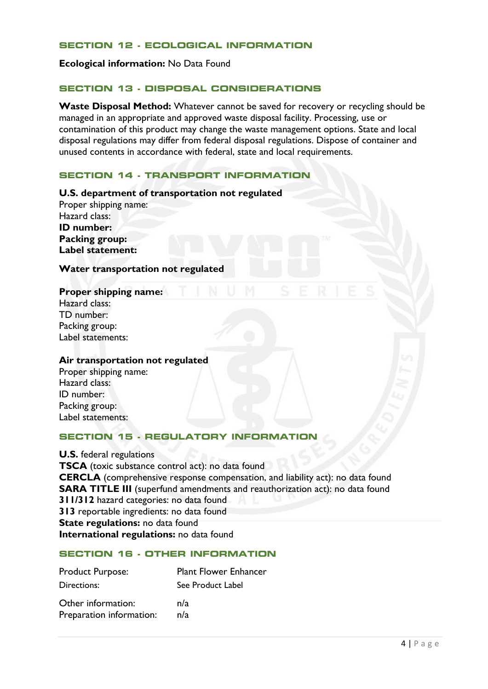#### **SECTION 12 - ECOLOGICAL INFORMATION**

#### **Ecological information:** No Data Found

#### **SECTION 13 - DISPOSAL CONSIDERATIONS**

**Waste Disposal Method:** Whatever cannot be saved for recovery or recycling should be managed in an appropriate and approved waste disposal facility. Processing, use or contamination of this product may change the waste management options. State and local disposal regulations may differ from federal disposal regulations. Dispose of container and unused contents in accordance with federal, state and local requirements.

#### **SECTION 14 - TRANSPORT INFORMATION**

#### **U.S. department of transportation not regulated**

Proper shipping name: Hazard class: **ID number: Packing group: Label statement:**

#### **Water transportation not regulated**

#### **Proper shipping name:**

Hazard class: TD number: Packing group: Label statements:

#### **Air transportation not regulated**

Proper shipping name: Hazard class: ID number: Packing group: Label statements:

#### **SECTION 15 - REGULATORY INFORMATION**

**U.S.** federal regulations **TSCA** (toxic substance control act): no data found **CERCLA** (comprehensive response compensation, and liability act): no data found **SARA TITLE III** (superfund amendments and reauthorization act): no data found **311/312** hazard categories: no data found **313** reportable ingredients: no data found **State regulations: no data found International regulations:** no data found

#### **SECTION 16 - OTHER INFORMATION**

| Product Purpose:                               | <b>Plant Flower Enhancer</b> |
|------------------------------------------------|------------------------------|
| Directions:                                    | See Product Label            |
| Other information:<br>Preparation information: | n/a<br>n/a                   |